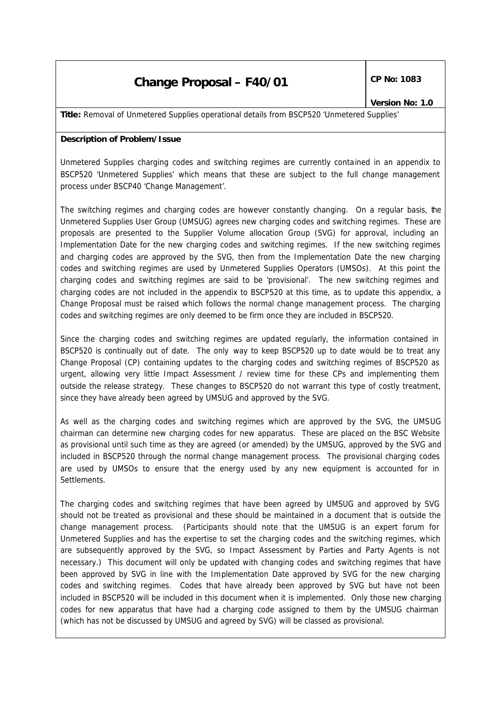# **Change Proposal – F40/01**  $\left|\begin{array}{cc} \text{CP No: } 1083 \end{array}\right|$

**Title:** Removal of Unmetered Supplies operational details from BSCP520 'Unmetered Supplies'

### **Description of Problem/Issue**

Unmetered Supplies charging codes and switching regimes are currently contained in an appendix to BSCP520 'Unmetered Supplies' which means that these are subject to the full change management process under BSCP40 'Change Management'.

The switching regimes and charging codes are however constantly changing. On a regular basis, the Unmetered Supplies User Group (UMSUG) agrees new charging codes and switching regimes. These are proposals are presented to the Supplier Volume allocation Group (SVG) for approval, including an Implementation Date for the new charging codes and switching regimes. If the new switching regimes and charging codes are approved by the SVG, then from the Implementation Date the new charging codes and switching regimes are used by Unmetered Supplies Operators (UMSOs). At this point the charging codes and switching regimes are said to be 'provisional'. The new switching regimes and charging codes are not included in the appendix to BSCP520 at this time, as to update this appendix, a Change Proposal must be raised which follows the normal change management process. The charging codes and switching regimes are only deemed to be firm once they are included in BSCP520.

Since the charging codes and switching regimes are updated regularly, the information contained in BSCP520 is continually out of date. The only way to keep BSCP520 up to date would be to treat any Change Proposal (CP) containing updates to the charging codes and switching regimes of BSCP520 as urgent, allowing very little Impact Assessment / review time for these CPs and implementing them outside the release strategy. These changes to BSCP520 do not warrant this type of costly treatment, since they have already been agreed by UMSUG and approved by the SVG.

As well as the charging codes and switching regimes which are approved by the SVG, the UMSUG chairman can determine new charging codes for new apparatus. These are placed on the BSC Website as provisional until such time as they are agreed (or amended) by the UMSUG, approved by the SVG and included in BSCP520 through the normal change management process. The provisional charging codes are used by UMSOs to ensure that the energy used by any new equipment is accounted for in Settlements.

The charging codes and switching regimes that have been agreed by UMSUG and approved by SVG should not be treated as provisional and these should be maintained in a document that is outside the change management process. (Participants should note that the UMSUG is an expert forum for Unmetered Supplies and has the expertise to set the charging codes and the switching regimes, which are subsequently approved by the SVG, so Impact Assessment by Parties and Party Agents is not necessary.) This document will only be updated with changing codes and switching regimes that have been approved by SVG in line with the Implementation Date approved by SVG for the new charging codes and switching regimes. Codes that have already been approved by SVG but have not been included in BSCP520 will be included in this document when it is implemented. Only those new charging codes for new apparatus that have had a charging code assigned to them by the UMSUG chairman (which has not be discussed by UMSUG and agreed by SVG) will be classed as provisional.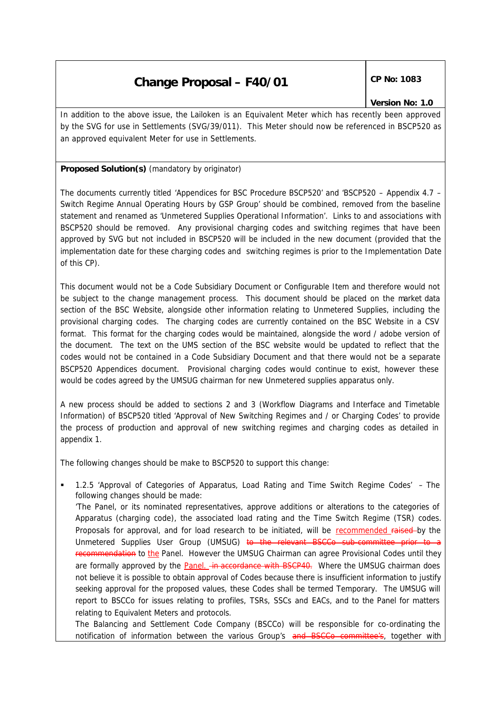# **Change Proposal – F40/01**  $\left|\begin{array}{cc} \text{CP No: } 1083 \end{array}\right|$

## *Version No: 1.0*

In addition to the above issue, the Lailoken is an Equivalent Meter which has recently been approved by the SVG for use in Settlements (SVG/39/011). This Meter should now be referenced in BSCP520 as an approved equivalent Meter for use in Settlements.

## **Proposed Solution(s)** *(mandatory by originator)*

The documents currently titled 'Appendices for BSC Procedure BSCP520' and 'BSCP520 – Appendix 4.7 – Switch Regime Annual Operating Hours by GSP Group' should be combined, removed from the baseline statement and renamed as 'Unmetered Supplies Operational Information'. Links to and associations with BSCP520 should be removed. Any provisional charging codes and switching regimes that have been approved by SVG but not included in BSCP520 will be included in the new document (provided that the implementation date for these charging codes and switching regimes is prior to the Implementation Date of this CP).

This document would not be a Code Subsidiary Document or Configurable Item and therefore would not be subject to the change management process. This document should be placed on the market data section of the BSC Website, alongside other information relating to Unmetered Supplies, including the provisional charging codes. The charging codes are currently contained on the BSC Website in a CSV format. This format for the charging codes would be maintained, alongside the word / adobe version of the document. The text on the UMS section of the BSC website would be updated to reflect that the codes would not be contained in a Code Subsidiary Document and that there would not be a separate BSCP520 Appendices document. Provisional charging codes would continue to exist, however these would be codes agreed by the UMSUG chairman for new Unmetered supplies apparatus only.

A new process should be added to sections 2 and 3 (Workflow Diagrams and Interface and Timetable Information) of BSCP520 titled 'Approval of New Switching Regimes and / or Charging Codes' to provide the process of production and approval of new switching regimes and charging codes as detailed in appendix 1.

The following changes should be make to BSCP520 to support this change:

relating to Equivalent Meters and protocols.

ß 1.2.5 'Approval of Categories of Apparatus, Load Rating and Time Switch Regime Codes' – The following changes should be made: 'The Panel, or its nominated representatives, approve additions or alterations to the categories of Apparatus (charging code), the associated load rating and the Time Switch Regime (TSR) codes. Proposals for approval, and for load research to be initiated, will be recommended raised-by the Unmetered Supplies User Group (UMSUG) to the relevant BSCCo s recommendation to the Panel. However the UMSUG Chairman can agree Provisional Codes until they are formally approved by the Panel. in accordance with BSCP40. Where the UMSUG chairman does not believe it is possible to obtain approval of Codes because there is insufficient information to justify seeking approval for the proposed values, these Codes shall be termed Temporary. The UMSUG will report to BSCCo for issues relating to profiles, TSRs, SSCs and EACs, and to the Panel for matters

The Balancing and Settlement Code Company (BSCCo) will be responsible for co-ordinating the notification of information between the various Group's and BSCCo committee's, together with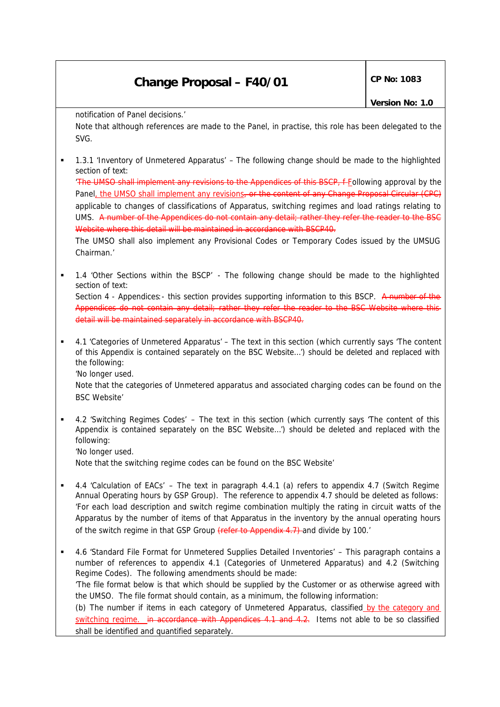# **Change Proposal – F40/01**  $\left|\begin{array}{cc} \text{CP No: } 1083 \end{array}\right|$

notification of Panel decisions.'

Note that although references are made to the Panel, in practise, this role has been delegated to the SVG.

ß 1.3.1 'Inventory of Unmetered Apparatus' – The following change should be made to the highlighted section of text:

'The UMSO shall implement any revisions to the Appendices of this BSCP, f-Eollowing approval by the Panel, the UMSO shall implement any revisions, or the content of any Change Proposal Circular applicable to changes of classifications of Apparatus, switching regimes and load ratings relating to UMS. A number of the Appendices do not contain any detail; rather they refer the reader to the BSC Website where this detail will be maintained in accordance with BSCP40.

The UMSO shall also implement any Provisional Codes or Temporary Codes issued by the UMSUG Chairman.'

ß 1.4 'Other Sections within the BSCP' - The following change should be made to the highlighted section of text:

Section 4 - Appendices: - this section provides supporting information to this BSCP. A number of Appendices do not contain any detail; rather they refer the reader to the BSC detail will be maintained separately in accordance with BSCP40.

ß 4.1 'Categories of Unmetered Apparatus' – The text in this section (which currently says 'The content of this Appendix is contained separately on the BSC Website…') should be deleted and replaced with the following:

'No longer used.

Note that the categories of Unmetered apparatus and associated charging codes can be found on the BSC Website'

ß 4.2 'Switching Regimes Codes' – The text in this section (which currently says 'The content of this Appendix is contained separately on the BSC Website…') should be deleted and replaced with the following:

'No longer used.

Note that the switching regime codes can be found on the BSC Website'

- ß 4.4 'Calculation of EACs' The text in paragraph 4.4.1 (a) refers to appendix 4.7 (Switch Regime Annual Operating hours by GSP Group). The reference to appendix 4.7 should be deleted as follows: 'For each load description and switch regime combination multiply the rating in circuit watts of the Apparatus by the number of items of that Apparatus in the inventory by the annual operating hours of the switch regime in that GSP Group (refer to Appendix 4.7) and divide by 100.
- ß 4.6 'Standard File Format for Unmetered Supplies Detailed Inventories' This paragraph contains a number of references to appendix 4.1 (Categories of Unmetered Apparatus) and 4.2 (Switching Regime Codes). The following amendments should be made: 'The file format below is that which should be supplied by the Customer or as otherwise agreed with the UMSO. The file format should contain, as a minimum, the following information: (b) The number if items in each category of Unmetered Apparatus, classified by the category and switching regime. in accordance with Appendices 4.1 and 4.2. Items not able to be so classified shall be identified and quantified separately.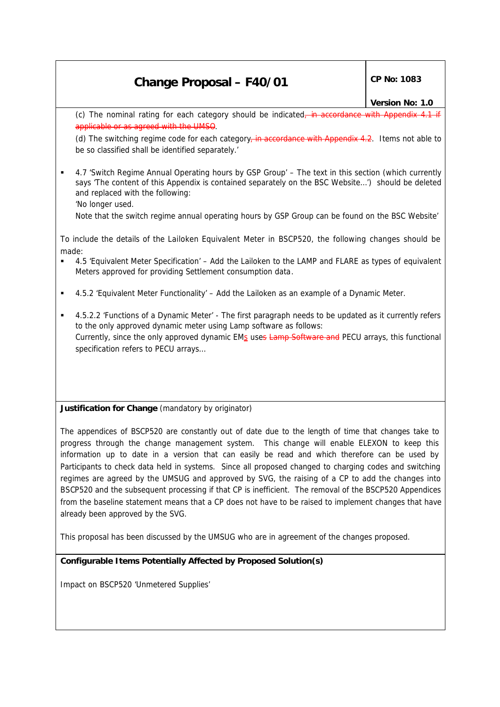# **Change Proposal – F40/01** CP No: 1083

### *Version No: 1.0*

(c) The nominal rating for each category should be indicated, applicable

(d) The switching regime code for each category, in accordance with Appendix 4.2. Items not able to be so classified shall be identified separately.'

ß 4.7 'Switch Regime Annual Operating hours by GSP Group' – The text in this section (which currently says 'The content of this Appendix is contained separately on the BSC Website…') should be deleted and replaced with the following:

'No longer used.

Note that the switch regime annual operating hours by GSP Group can be found on the BSC Website'

To include the details of the Lailoken Equivalent Meter in BSCP520, the following changes should be made:

- ß 4.5 'Equivalent Meter Specification' Add the Lailoken to the LAMP and FLARE as types of equivalent Meters approved for providing Settlement consumption data.
- ß 4.5.2 'Equivalent Meter Functionality' Add the Lailoken as an example of a Dynamic Meter.
- ß 4.5.2.2 'Functions of a Dynamic Meter' The first paragraph needs to be updated as it currently refers to the only approved dynamic meter using Lamp software as follows: Currently, since the only approved dynamic EMs uses Lamp Software and PECU arrays, this functional specification refers to PECU arrays…

**Justification for Change** *(mandatory by originator)*

The appendices of BSCP520 are constantly out of date due to the length of time that changes take to progress through the change management system. This change will enable ELEXON to keep this information up to date in a version that can easily be read and which therefore can be used by Participants to check data held in systems. Since all proposed changed to charging codes and switching regimes are agreed by the UMSUG and approved by SVG, the raising of a CP to add the changes into BSCP520 and the subsequent processing if that CP is inefficient. The removal of the BSCP520 Appendices from the baseline statement means that a CP does not have to be raised to implement changes that have already been approved by the SVG.

This proposal has been discussed by the UMSUG who are in agreement of the changes proposed.

## **Configurable Items Potentially Affected by Proposed Solution(s)**

Impact on BSCP520 'Unmetered Supplies'